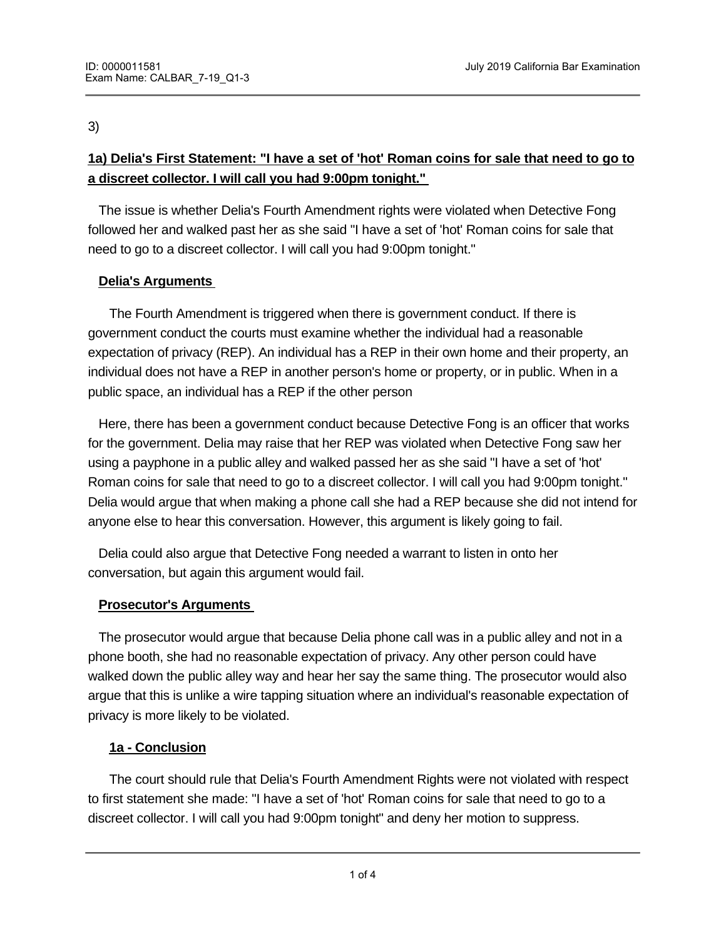3)

# **1a) Delia's First Statement: "I have a set of 'hot' Roman coins for sale that need to go to a discreet collector. I will call you had 9:00pm tonight."**

The issue is whether Delia's Fourth Amendment rights were violated when Detective Fong followed her and walked past her as she said "I have a set of 'hot' Roman coins for sale that need to go to a discreet collector. I will call you had 9:00pm tonight."

## **Delia's Arguments**

 The Fourth Amendment is triggered when there is government conduct. If there is government conduct the courts must examine whether the individual had a reasonable expectation of privacy (REP). An individual has a REP in their own home and their property, an individual does not have a REP in another person's home or property, or in public. When in a public space, an individual has a REP if the other person

 Here, there has been a government conduct because Detective Fong is an officer that works for the government. Delia may raise that her REP was violated when Detective Fong saw her using a payphone in a public alley and walked passed her as she said "I have a set of 'hot' Roman coins for sale that need to go to a discreet collector. I will call you had 9:00pm tonight." Delia would argue that when making a phone call she had a REP because she did not intend for anyone else to hear this conversation. However, this argument is likely going to fail.

 Delia could also argue that Detective Fong needed a warrant to listen in onto her conversation, but again this argument would fail.

#### **Prosecutor's Arguments**

 The prosecutor would argue that because Delia phone call was in a public alley and not in a phone booth, she had no reasonable expectation of privacy. Any other person could have walked down the public alley way and hear her say the same thing. The prosecutor would also argue that this is unlike a wire tapping situation where an individual's reasonable expectation of privacy is more likely to be violated.

#### **1a - Conclusion**

 The court should rule that Delia's Fourth Amendment Rights were not violated with respect to first statement she made: "I have a set of 'hot' Roman coins for sale that need to go to a discreet collector. I will call you had 9:00pm tonight" and deny her motion to suppress.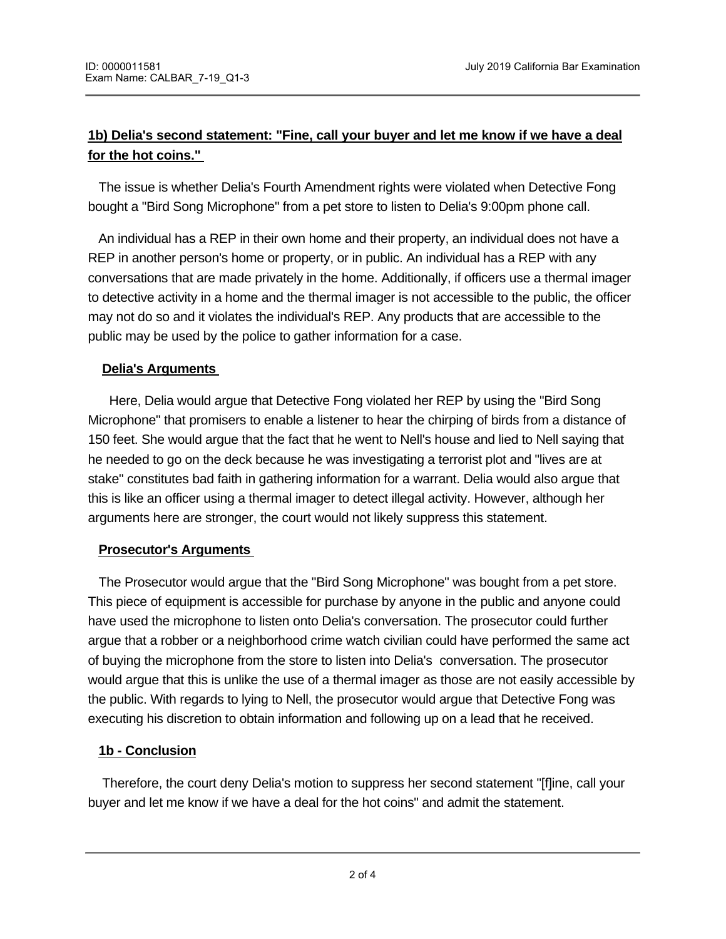# **1b) Delia's second statement: "Fine, call your buyer and let me know if we have a deal for the hot coins."**

 The issue is whether Delia's Fourth Amendment rights were violated when Detective Fong bought a "Bird Song Microphone" from a pet store to listen to Delia's 9:00pm phone call.

 An individual has a REP in their own home and their property, an individual does not have a REP in another person's home or property, or in public. An individual has a REP with any conversations that are made privately in the home. Additionally, if officers use a thermal imager to detective activity in a home and the thermal imager is not accessible to the public, the officer may not do so and it violates the individual's REP. Any products that are accessible to the public may be used by the police to gather information for a case.

#### **Delia's Arguments**

Here, Delia would argue that Detective Fong violated her REP by using the "Bird Song Microphone" that promisers to enable a listener to hear the chirping of birds from a distance of 150 feet. She would argue that the fact that he went to Nell's house and lied to Nell saying that he needed to go on the deck because he was investigating a terrorist plot and "lives are at stake" constitutes bad faith in gathering information for a warrant. Delia would also argue that this is like an officer using a thermal imager to detect illegal activity. However, although her arguments here are stronger, the court would not likely suppress this statement.

#### **Prosecutor's Arguments**

 The Prosecutor would argue that the "Bird Song Microphone" was bought from a pet store. This piece of equipment is accessible for purchase by anyone in the public and anyone could have used the microphone to listen onto Delia's conversation. The prosecutor could further argue that a robber or a neighborhood crime watch civilian could have performed the same act of buying the microphone from the store to listen into Delia's conversation. The prosecutor would argue that this is unlike the use of a thermal imager as those are not easily accessible by the public. With regards to lying to Nell, the prosecutor would argue that Detective Fong was executing his discretion to obtain information and following up on a lead that he received.

#### **1b - Conclusion**

 Therefore, the court deny Delia's motion to suppress her second statement "[f]ine, call your buyer and let me know if we have a deal for the hot coins" and admit the statement.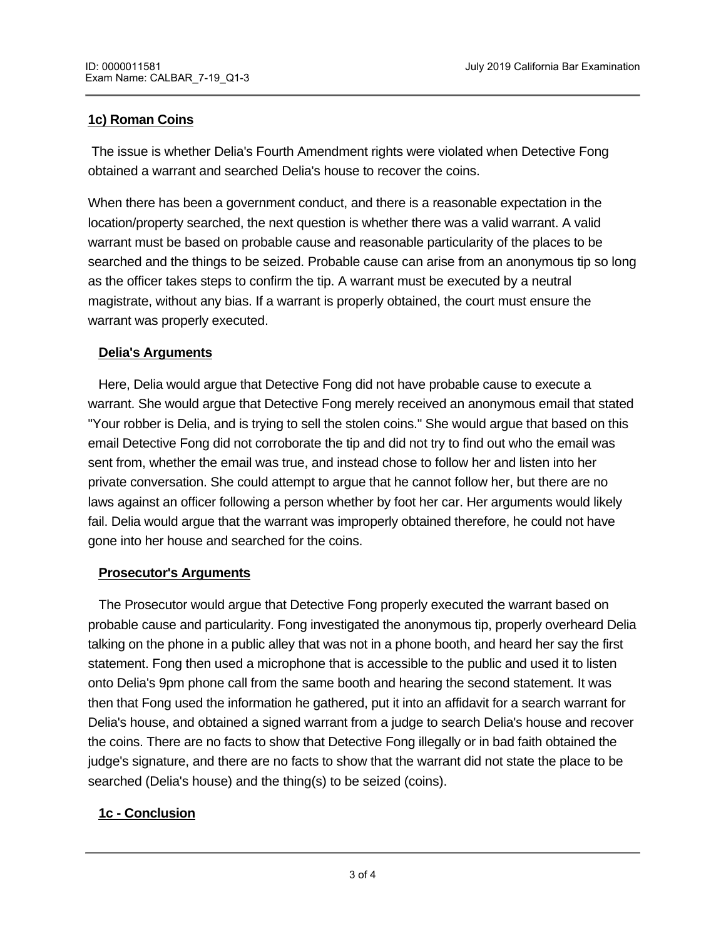### **1c) Roman Coins**

 The issue is whether Delia's Fourth Amendment rights were violated when Detective Fong obtained a warrant and searched Delia's house to recover the coins.

When there has been a government conduct, and there is a reasonable expectation in the location/property searched, the next question is whether there was a valid warrant. A valid warrant must be based on probable cause and reasonable particularity of the places to be searched and the things to be seized. Probable cause can arise from an anonymous tip so long as the officer takes steps to confirm the tip. A warrant must be executed by a neutral magistrate, without any bias. If a warrant is properly obtained, the court must ensure the warrant was properly executed.

#### **Delia's Arguments**

 Here, Delia would argue that Detective Fong did not have probable cause to execute a warrant. She would argue that Detective Fong merely received an anonymous email that stated "Your robber is Delia, and is trying to sell the stolen coins." She would argue that based on this email Detective Fong did not corroborate the tip and did not try to find out who the email was sent from, whether the email was true, and instead chose to follow her and listen into her private conversation. She could attempt to argue that he cannot follow her, but there are no laws against an officer following a person whether by foot her car. Her arguments would likely fail. Delia would argue that the warrant was improperly obtained therefore, he could not have gone into her house and searched for the coins.

#### **Prosecutor's Arguments**

 The Prosecutor would argue that Detective Fong properly executed the warrant based on probable cause and particularity. Fong investigated the anonymous tip, properly overheard Delia talking on the phone in a public alley that was not in a phone booth, and heard her say the first statement. Fong then used a microphone that is accessible to the public and used it to listen onto Delia's 9pm phone call from the same booth and hearing the second statement. It was then that Fong used the information he gathered, put it into an affidavit for a search warrant for Delia's house, and obtained a signed warrant from a judge to search Delia's house and recover the coins. There are no facts to show that Detective Fong illegally or in bad faith obtained the judge's signature, and there are no facts to show that the warrant did not state the place to be searched (Delia's house) and the thing(s) to be seized (coins).

#### **1c - Conclusion**

Therefore, the court should deny  $D$  and admit the  $\mathcal{D}_\text{max}$  motion to suppress and admit the Roman coins